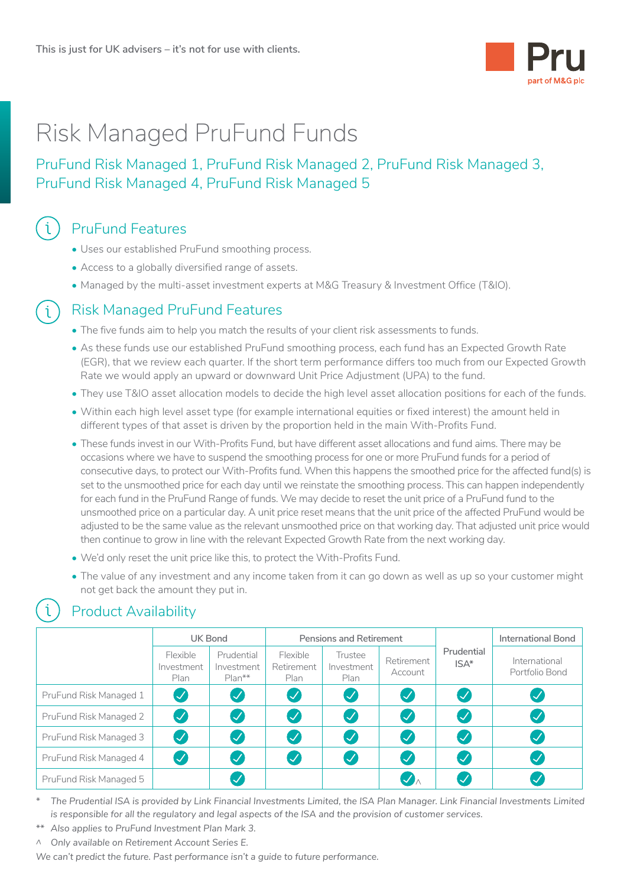

### Risk Managed PruFund Funds

### PruFund Risk Managed 1, PruFund Risk Managed 2, PruFund Risk Managed 3, PruFund Risk Managed 4, PruFund Risk Managed 5

# PruFund Features CD

- Uses our established PruFund smoothing process.
- Access to a globally diversified range of assets.
- Managed by the multi-asset investment experts at M&G Treasury & Investment Office (T&IO).

# **(i)** Risk Managed PruFund Features

- The five funds aim to help you match the results of your client risk assessments to funds.
- As these funds use our established PruFund smoothing process, each fund has an Expected Growth Rate (EGR), that we review each quarter. If the short term performance differs too much from our Expected Growth Rate we would apply an upward or downward Unit Price Adjustment (UPA) to the fund.
- They use T&IO asset allocation models to decide the high level asset allocation positions for each of the funds.
- Within each high level asset type (for example international equities or fixed interest) the amount held in different types of that asset is driven by the proportion held in the main With-Profits Fund.
- These funds invest in our With-Profits Fund, but have different asset allocations and fund aims. There may be occasions where we have to suspend the smoothing process for one or more PruFund funds for a period of consecutive days, to protect our With-Profits fund. When this happens the smoothed price for the affected fund(s) is set to the unsmoothed price for each day until we reinstate the smoothing process. This can happen independently for each fund in the PruFund Range of funds. We may decide to reset the unit price of a PruFund fund to the unsmoothed price on a particular day. A unit price reset means that the unit price of the affected PruFund would be adjusted to be the same value as the relevant unsmoothed price on that working day. That adjusted unit price would then continue to grow in line with the relevant Expected Growth Rate from the next working day.
- We'd only reset the unit price like this, to protect the With-Profits Fund.
- The value of any investment and any income taken from it can go down as well as up so your customer might not get back the amount they put in.

**ISA\***

**International Bond**

International Portfolio Bond

#### <sup>1</sup> Product Availability **UK Bond Pensions and Retirement Prudential** Flexible Investment Plan Prudential Investment Plan\*\* Flexible Retirement Plan Trustee Investment Plan Retirement Account PruFund Risk Managed 1 PruFund Risk Managed 2 PruFund Risk Managed 3 • • • • • • • • • • • • • • • • • • • • • • • • • • • • • • • •

PruFund Risk Managed 5  $\bigcup$   $\bigcup$  and  $\bigcup$  and  $\bigcup$  and  $\bigcup$  and  $\bigcup$  and  $\bigcup$  and  $\bigcup$  and  $\bigcup$  and  $\bigcup$  and  $\bigcup$  and  $\bigcup$  and  $\bigcup$  and  $\bigcup$  and  $\bigcup$  and  $\bigcup$  and  $\bigcup$  and  $\bigcup$  and  $\bigcup$  and  $\bigcup$  and  $\big$ 

*\* The Prudential ISA is provided by Link Financial Investments Limited, the ISA Plan Manager. Link Financial Investments Limited is responsible for all the regulatory and legal aspects of the ISA and the provision of customer services.*

*\*\* Also applies to PruFund Investment Plan Mark 3.*

PruFund Risk Managed 4

*^ Only available on Retirement Account Series E.*

*We can't predict the future. Past performance isn't a guide to future performance.*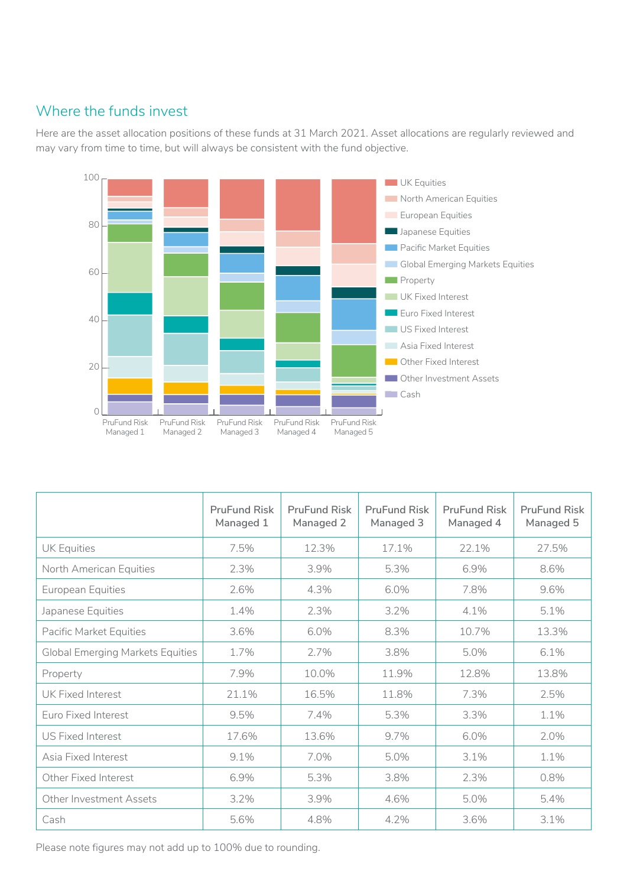#### Where the funds invest

Here are the asset allocation positions of these funds at 31 March 2021. Asset allocations are regularly reviewed and may vary from time to time, but will always be consistent with the fund objective.



|                                         | <b>PruFund Risk</b><br>Managed 1 | <b>PruFund Risk</b><br>Managed 2 | <b>PruFund Risk</b><br>Managed 3 | <b>PruFund Risk</b><br>Managed 4 | <b>PruFund Risk</b><br>Managed 5 |
|-----------------------------------------|----------------------------------|----------------------------------|----------------------------------|----------------------------------|----------------------------------|
| <b>UK Equities</b>                      | 7.5%                             | 12.3%                            | 17.1%                            | 22.1%                            | 27.5%                            |
| North American Equities                 | 2.3%                             | 3.9%                             | 5.3%                             | 6.9%                             | 8.6%                             |
| European Equities                       | 2.6%                             | 4.3%                             | 6.0%                             | 7.8%                             | 9.6%                             |
| Japanese Equities                       | 1.4%                             | 2.3%                             | $3.2\%$                          | 4.1%                             | 5.1%                             |
| Pacific Market Equities                 | 3.6%                             | 6.0%                             | 8.3%                             | 10.7%                            | 13.3%                            |
| <b>Global Emerging Markets Equities</b> | 1.7%                             | 2.7%                             | 3.8%                             | 5.0%                             | 6.1%                             |
| Property                                | 7.9%                             | 10.0%                            | 11.9%                            | 12.8%                            | 13.8%                            |
| UK Fixed Interest                       | 21.1%                            | 16.5%                            | 11.8%                            | 7.3%                             | 2.5%                             |
| Euro Fixed Interest                     | 9.5%                             | 7.4%                             | 5.3%                             | 3.3%                             | 1.1%                             |
| <b>US Fixed Interest</b>                | 17.6%                            | 13.6%                            | 9.7%                             | 6.0%                             | 2.0%                             |
| Asia Fixed Interest                     | 9.1%                             | 7.0%                             | 5.0%                             | 3.1%                             | 1.1%                             |
| Other Fixed Interest                    | 6.9%                             | 5.3%                             | 3.8%                             | 2.3%                             | 0.8%                             |
| Other Investment Assets                 | 3.2%                             | 3.9%                             | 4.6%                             | 5.0%                             | 5.4%                             |
| Cash                                    | 5.6%                             | 4.8%                             | 4.2%                             | 3.6%                             | 3.1%                             |

Please note figures may not add up to 100% due to rounding.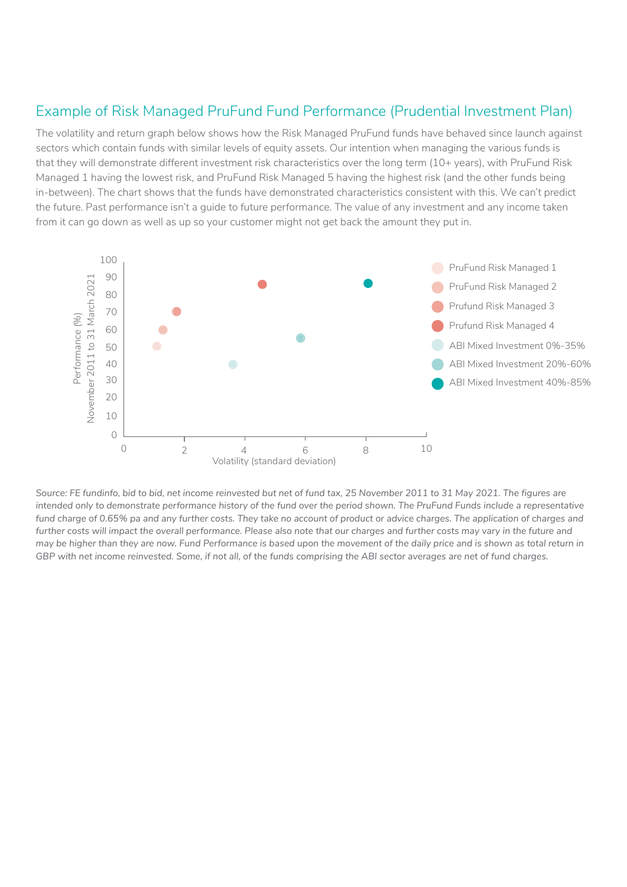#### Example of Risk Managed PruFund Fund Performance (Prudential Investment Plan)

The volatility and return graph below shows how the Risk Managed PruFund funds have behaved since launch against sectors which contain funds with similar levels of equity assets. Our intention when managing the various funds is that they will demonstrate different investment risk characteristics over the long term (10+ years), with PruFund Risk Managed 1 having the lowest risk, and PruFund Risk Managed 5 having the highest risk (and the other funds being in-between). The chart shows that the funds have demonstrated characteristics consistent with this. We can't predict the future. Past performance isn't a guide to future performance. The value of any investment and any income taken from it can go down as well as up so your customer might not get back the amount they put in.



*Source: FE fundinfo, bid to bid, net income reinvested but net of fund tax, 25 November 2011 to 31 May 2021. The figures are*  intended only to demonstrate performance history of the fund over the period shown. The PruFund Funds include a representative fund charge of 0.65% pa and any further costs. They take no account of product or advice charges. The application of charges and further costs will impact the overall performance. Please also note that our charges and further costs may vary in the future and *may be higher than they are now. Fund Performance is based upon the movement of the daily price and is shown as total return in GBP with net income reinvested. Some, if not all, of the funds comprising the ABI sector averages are net of fund charges.*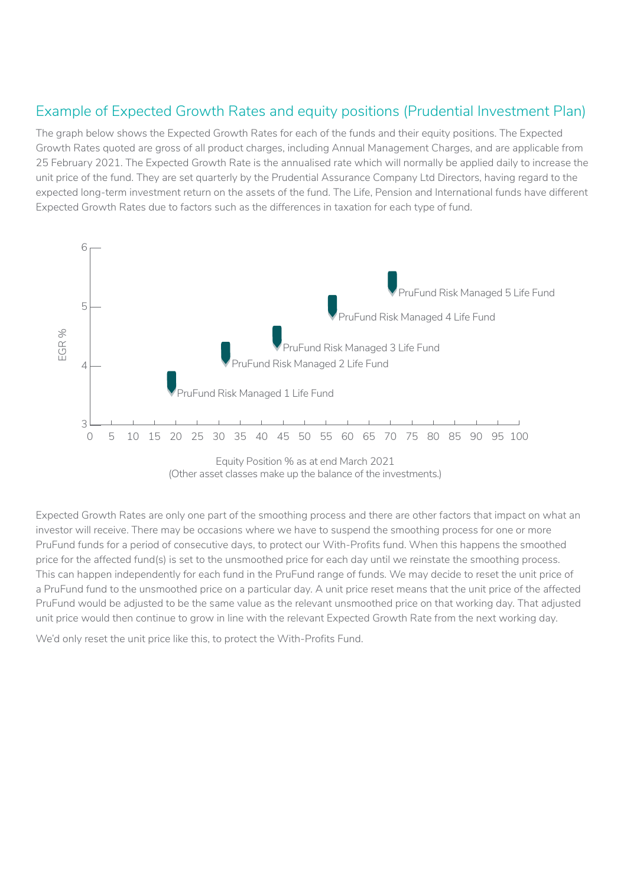#### Example of Expected Growth Rates and equity positions (Prudential Investment Plan)

The graph below shows the Expected Growth Rates for each of the funds and their equity positions. The Expected Growth Rates quoted are gross of all product charges, including Annual Management Charges, and are applicable from 25 February 2021. The Expected Growth Rate is the annualised rate which will normally be applied daily to increase the unit price of the fund. They are set quarterly by the Prudential Assurance Company Ltd Directors, having regard to the expected long-term investment return on the assets of the fund. The Life, Pension and International funds have different Expected Growth Rates due to factors such as the differences in taxation for each type of fund.



<sup>(</sup>Other asset classes make up the balance of the investments.)

Expected Growth Rates are only one part of the smoothing process and there are other factors that impact on what an investor will receive. There may be occasions where we have to suspend the smoothing process for one or more PruFund funds for a period of consecutive days, to protect our With-Profits fund. When this happens the smoothed price for the affected fund(s) is set to the unsmoothed price for each day until we reinstate the smoothing process. This can happen independently for each fund in the PruFund range of funds. We may decide to reset the unit price of a PruFund fund to the unsmoothed price on a particular day. A unit price reset means that the unit price of the affected PruFund would be adjusted to be the same value as the relevant unsmoothed price on that working day. That adjusted unit price would then continue to grow in line with the relevant Expected Growth Rate from the next working day.

We'd only reset the unit price like this, to protect the With-Profits Fund.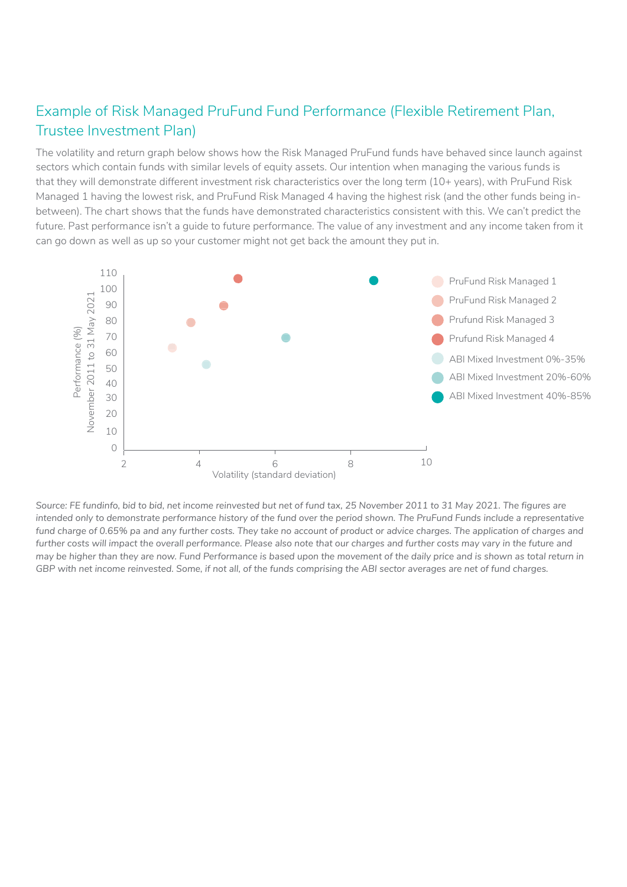#### Example of Risk Managed PruFund Fund Performance (Flexible Retirement Plan, Trustee Investment Plan)

The volatility and return graph below shows how the Risk Managed PruFund funds have behaved since launch against sectors which contain funds with similar levels of equity assets. Our intention when managing the various funds is that they will demonstrate different investment risk characteristics over the long term (10+ years), with PruFund Risk Managed 1 having the lowest risk, and PruFund Risk Managed 4 having the highest risk (and the other funds being inbetween). The chart shows that the funds have demonstrated characteristics consistent with this. We can't predict the future. Past performance isn't a guide to future performance. The value of any investment and any income taken from it can go down as well as up so your customer might not get back the amount they put in.



*Source: FE fundinfo, bid to bid, net income reinvested but net of fund tax, 25 November 2011 to 31 May 2021. The figures are intended only to demonstrate performance history of the fund over the period shown. The PruFund Funds include a representative*  fund charge of 0.65% pa and any further costs. They take no account of product or advice charges. The application of charges and further costs will impact the overall performance. Please also note that our charges and further costs may vary in the future and *may be higher than they are now. Fund Performance is based upon the movement of the daily price and is shown as total return in GBP with net income reinvested. Some, if not all, of the funds comprising the ABI sector averages are net of fund charges.*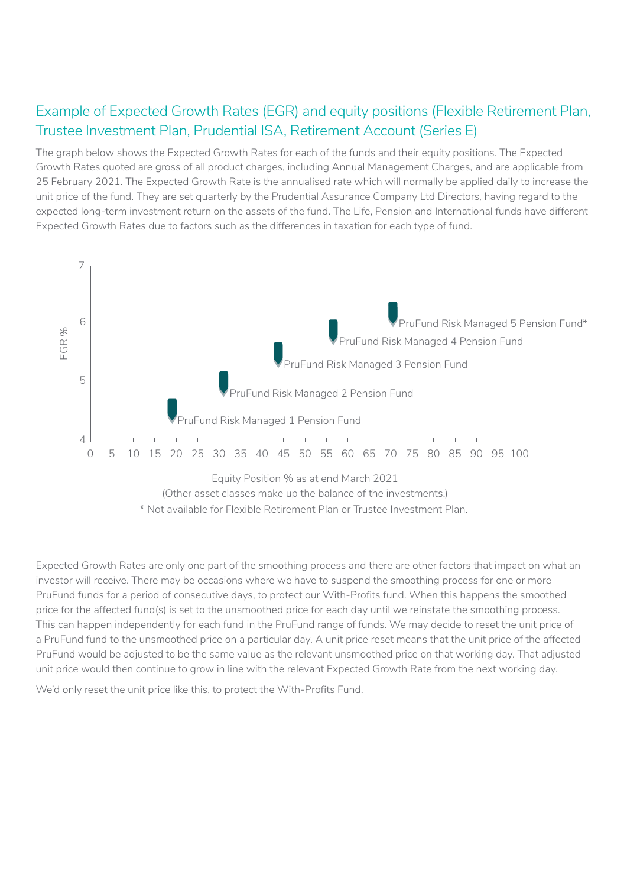### Example of Expected Growth Rates (EGR) and equity positions (Flexible Retirement Plan, Trustee Investment Plan, Prudential ISA, Retirement Account (Series E)

The graph below shows the Expected Growth Rates for each of the funds and their equity positions. The Expected Growth Rates quoted are gross of all product charges, including Annual Management Charges, and are applicable from 25 February 2021. The Expected Growth Rate is the annualised rate which will normally be applied daily to increase the unit price of the fund. They are set quarterly by the Prudential Assurance Company Ltd Directors, having regard to the expected long-term investment return on the assets of the fund. The Life, Pension and International funds have different Expected Growth Rates due to factors such as the differences in taxation for each type of fund.



Expected Growth Rates are only one part of the smoothing process and there are other factors that impact on what an investor will receive. There may be occasions where we have to suspend the smoothing process for one or more PruFund funds for a period of consecutive days, to protect our With-Profits fund. When this happens the smoothed price for the affected fund(s) is set to the unsmoothed price for each day until we reinstate the smoothing process. This can happen independently for each fund in the PruFund range of funds. We may decide to reset the unit price of a PruFund fund to the unsmoothed price on a particular day. A unit price reset means that the unit price of the affected PruFund would be adjusted to be the same value as the relevant unsmoothed price on that working day. That adjusted unit price would then continue to grow in line with the relevant Expected Growth Rate from the next working day.

We'd only reset the unit price like this, to protect the With-Profits Fund.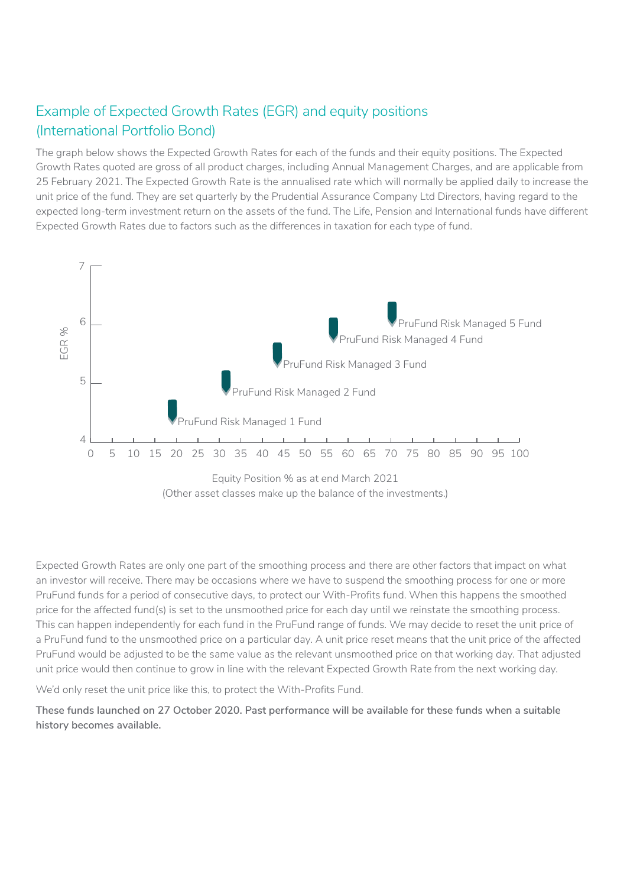### Example of Expected Growth Rates (EGR) and equity positions (International Portfolio Bond)

The graph below shows the Expected Growth Rates for each of the funds and their equity positions. The Expected Growth Rates quoted are gross of all product charges, including Annual Management Charges, and are applicable from 25 February 2021. The Expected Growth Rate is the annualised rate which will normally be applied daily to increase the unit price of the fund. They are set quarterly by the Prudential Assurance Company Ltd Directors, having regard to the expected long-term investment return on the assets of the fund. The Life, Pension and International funds have different Expected Growth Rates due to factors such as the differences in taxation for each type of fund.



Expected Growth Rates are only one part of the smoothing process and there are other factors that impact on what an investor will receive. There may be occasions where we have to suspend the smoothing process for one or more PruFund funds for a period of consecutive days, to protect our With-Profits fund. When this happens the smoothed price for the affected fund(s) is set to the unsmoothed price for each day until we reinstate the smoothing process. This can happen independently for each fund in the PruFund range of funds. We may decide to reset the unit price of a PruFund fund to the unsmoothed price on a particular day. A unit price reset means that the unit price of the affected PruFund would be adjusted to be the same value as the relevant unsmoothed price on that working day. That adjusted unit price would then continue to grow in line with the relevant Expected Growth Rate from the next working day.

We'd only reset the unit price like this, to protect the With-Profits Fund.

**These funds launched on 27 October 2020. Past performance will be available for these funds when a suitable history becomes available.**